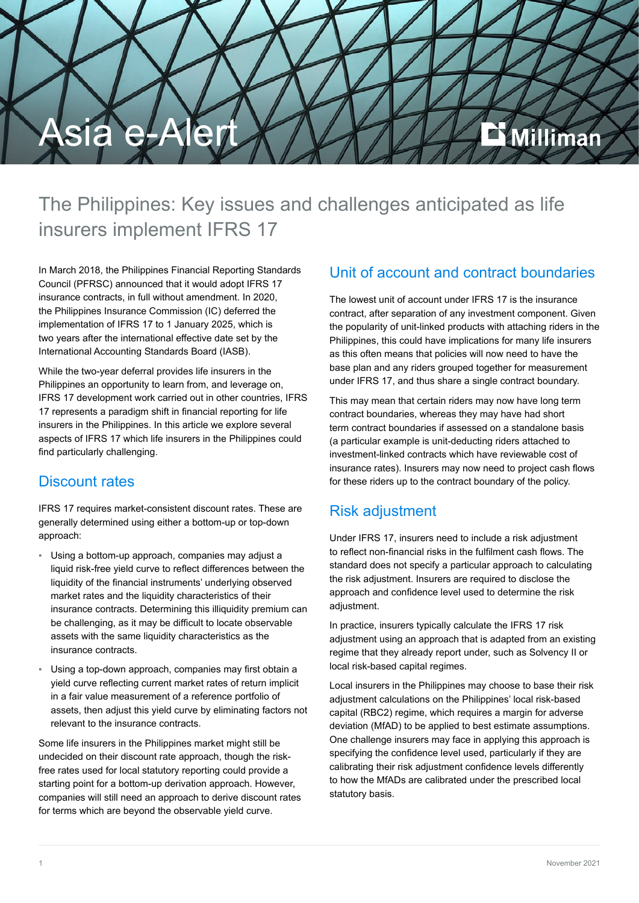

# The Philippines: Key issues and challenges anticipated as life insurers implement IFRS 17

In March 2018, the Philippines Financial Reporting Standards Council (PFRSC) announced that it would adopt IFRS 17 insurance contracts, in full without amendment. In 2020, the Philippines Insurance Commission (IC) deferred the implementation of IFRS 17 to 1 January 2025, which is two years after the international effective date set by the International Accounting Standards Board (IASB).

While the two-year deferral provides life insurers in the Philippines an opportunity to learn from, and leverage on, IFRS 17 development work carried out in other countries, IFRS 17 represents a paradigm shift in financial reporting for life insurers in the Philippines. In this article we explore several aspects of IFRS 17 which life insurers in the Philippines could find particularly challenging.

## Discount rates

IFRS 17 requires market-consistent discount rates. These are generally determined using either a bottom-up or top-down approach:

- Using a bottom-up approach, companies may adjust a liquid risk-free yield curve to reflect differences between the liquidity of the financial instruments' underlying observed market rates and the liquidity characteristics of their insurance contracts. Determining this illiquidity premium can be challenging, as it may be difficult to locate observable assets with the same liquidity characteristics as the insurance contracts.
- Using a top-down approach, companies may first obtain a yield curve reflecting current market rates of return implicit in a fair value measurement of a reference portfolio of assets, then adjust this yield curve by eliminating factors not relevant to the insurance contracts.

Some life insurers in the Philippines market might still be undecided on their discount rate approach, though the riskfree rates used for local statutory reporting could provide a starting point for a bottom-up derivation approach. However, companies will still need an approach to derive discount rates for terms which are beyond the observable yield curve.

## Unit of account and contract boundaries

The lowest unit of account under IFRS 17 is the insurance contract, after separation of any investment component. Given the popularity of unit-linked products with attaching riders in the Philippines, this could have implications for many life insurers as this often means that policies will now need to have the base plan and any riders grouped together for measurement under IFRS 17, and thus share a single contract boundary.

This may mean that certain riders may now have long term contract boundaries, whereas they may have had short term contract boundaries if assessed on a standalone basis (a particular example is unit-deducting riders attached to investment-linked contracts which have reviewable cost of insurance rates). Insurers may now need to project cash flows for these riders up to the contract boundary of the policy.

## Risk adjustment

Under IFRS 17, insurers need to include a risk adjustment to reflect non-financial risks in the fulfilment cash flows. The standard does not specify a particular approach to calculating the risk adjustment. Insurers are required to disclose the approach and confidence level used to determine the risk adiustment.

In practice, insurers typically calculate the IFRS 17 risk adjustment using an approach that is adapted from an existing regime that they already report under, such as Solvency II or local risk-based capital regimes.

Local insurers in the Philippines may choose to base their risk adjustment calculations on the Philippines' local risk-based capital (RBC2) regime, which requires a margin for adverse deviation (MfAD) to be applied to best estimate assumptions. One challenge insurers may face in applying this approach is specifying the confidence level used, particularly if they are calibrating their risk adjustment confidence levels differently to how the MfADs are calibrated under the prescribed local statutory basis.